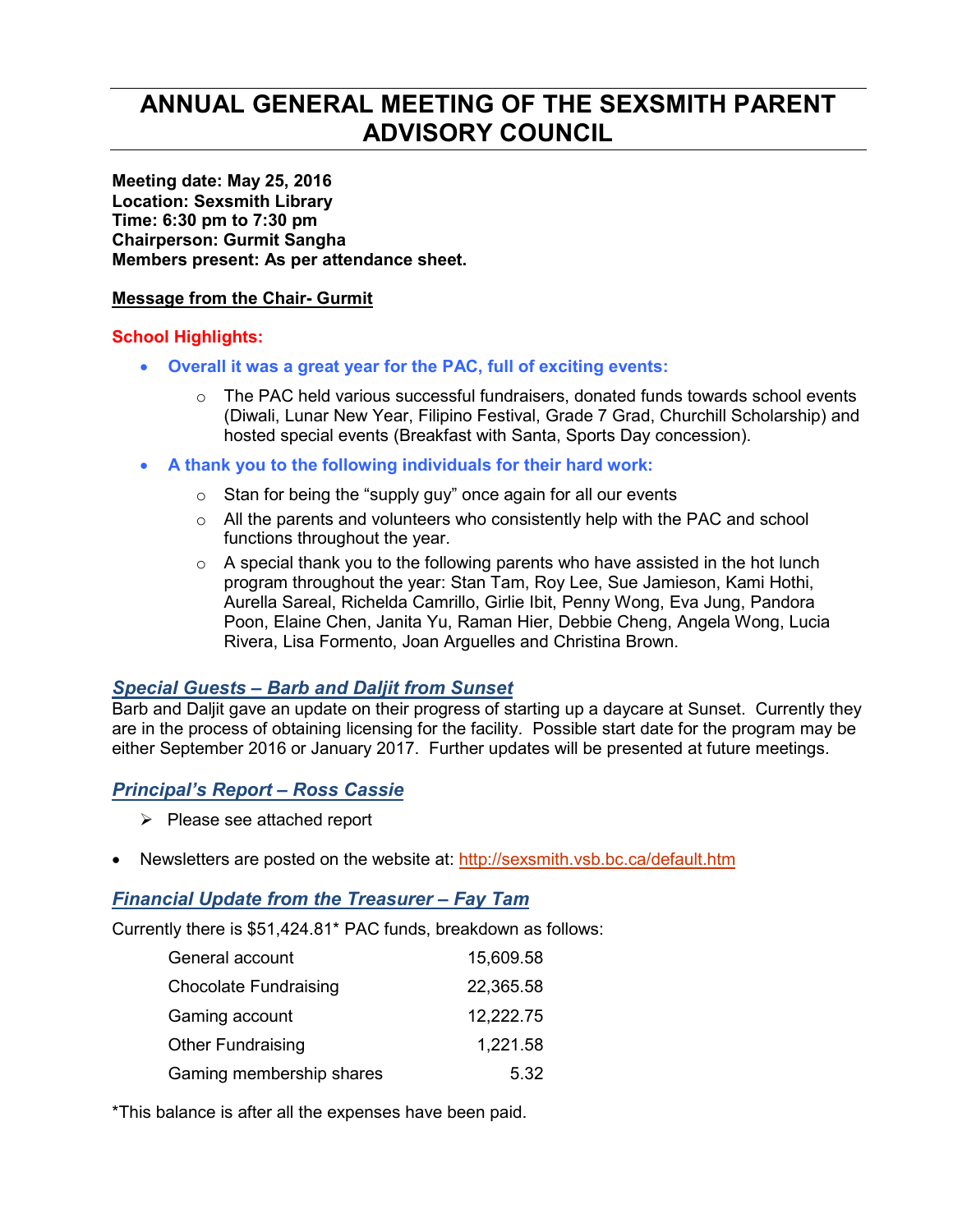# **ANNUAL GENERAL MEETING OF THE SEXSMITH PARENT ADVISORY COUNCIL**

**Meeting date: May 25, 2016 Location: Sexsmith Library Time: 6:30 pm to 7:30 pm Chairperson: Gurmit Sangha Members present: As per attendance sheet.** 

#### **Message from the Chair- Gurmit**

### **School Highlights:**

- **Overall it was a great year for the PAC, full of exciting events:** 
	- $\circ$  The PAC held various successful fundraisers, donated funds towards school events (Diwali, Lunar New Year, Filipino Festival, Grade 7 Grad, Churchill Scholarship) and hosted special events (Breakfast with Santa, Sports Day concession).
- **A thank you to the following individuals for their hard work:** 
	- $\circ$  Stan for being the "supply guy" once again for all our events
	- $\circ$  All the parents and volunteers who consistently help with the PAC and school functions throughout the year.
	- $\circ$  A special thank you to the following parents who have assisted in the hot lunch program throughout the year: Stan Tam, Roy Lee, Sue Jamieson, Kami Hothi, Aurella Sareal, Richelda Camrillo, Girlie Ibit, Penny Wong, Eva Jung, Pandora Poon, Elaine Chen, Janita Yu, Raman Hier, Debbie Cheng, Angela Wong, Lucia Rivera, Lisa Formento, Joan Arguelles and Christina Brown.

## *Special Guests – Barb and Daljit from Sunset*

Barb and Daljit gave an update on their progress of starting up a daycare at Sunset. Currently they are in the process of obtaining licensing for the facility. Possible start date for the program may be either September 2016 or January 2017. Further updates will be presented at future meetings.

## *Principal's Report – Ross Cassie*

- $\triangleright$  Please see attached report
- Newsletters are posted on the website at: http://sexsmith.vsb.bc.ca/default.htm

### *Financial Update from the Treasurer – Fay Tam*

Currently there is \$51,424.81\* PAC funds, breakdown as follows:

| General account              | 15,609.58 |
|------------------------------|-----------|
| <b>Chocolate Fundraising</b> | 22,365.58 |
| Gaming account               | 12,222.75 |
| Other Fundraising            | 1,221.58  |
| Gaming membership shares     | 5.32      |

\*This balance is after all the expenses have been paid.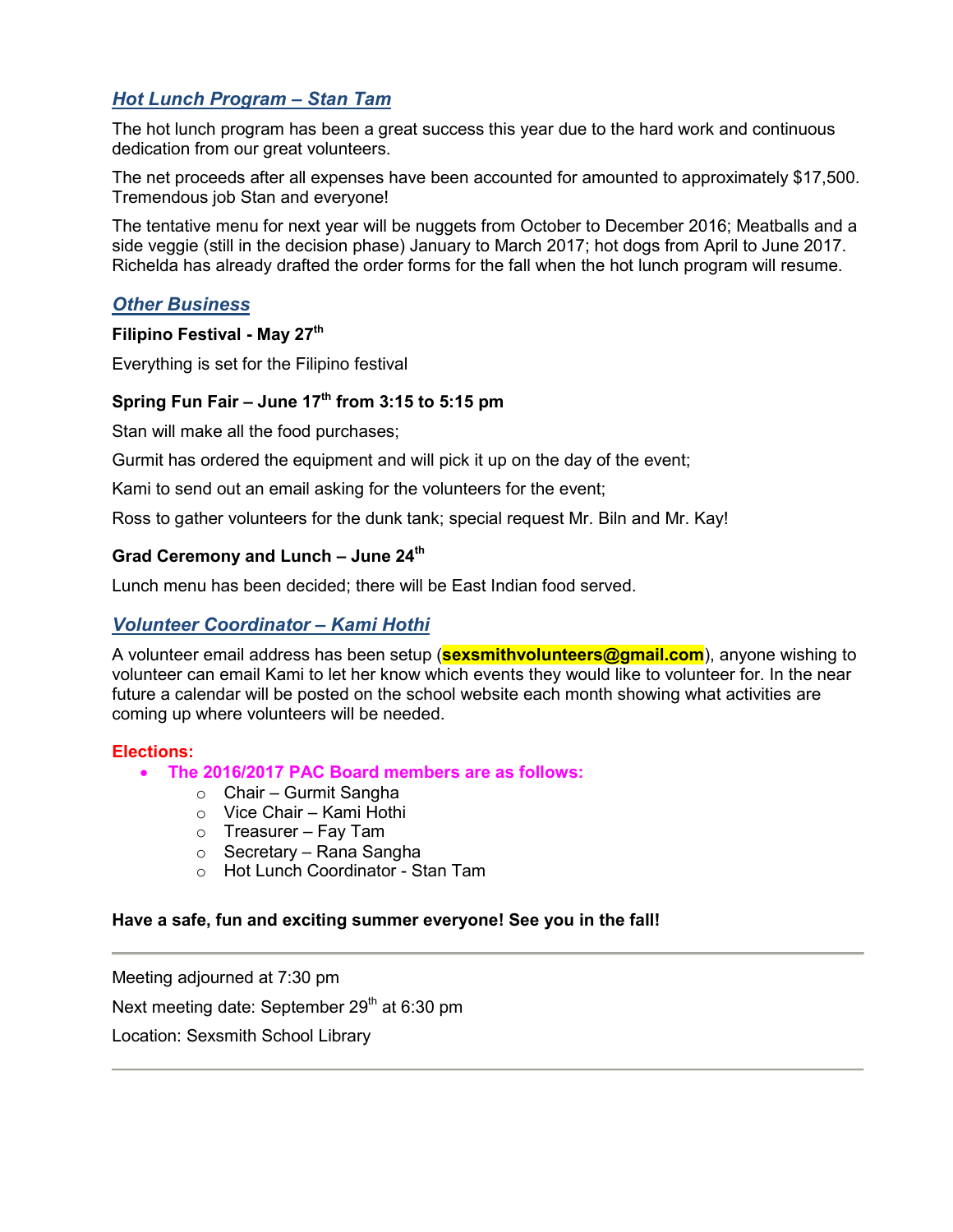## *Hot Lunch Program – Stan Tam*

The hot lunch program has been a great success this year due to the hard work and continuous dedication from our great volunteers.

The net proceeds after all expenses have been accounted for amounted to approximately \$17,500. Tremendous job Stan and everyone!

The tentative menu for next year will be nuggets from October to December 2016; Meatballs and a side veggie (still in the decision phase) January to March 2017; hot dogs from April to June 2017. Richelda has already drafted the order forms for the fall when the hot lunch program will resume.

#### *Other Business*

#### **Filipino Festival - May 27th**

Everything is set for the Filipino festival

## **Spring Fun Fair – June 17th from 3:15 to 5:15 pm**

Stan will make all the food purchases;

Gurmit has ordered the equipment and will pick it up on the day of the event;

Kami to send out an email asking for the volunteers for the event;

Ross to gather volunteers for the dunk tank; special request Mr. Biln and Mr. Kay!

### **Grad Ceremony and Lunch – June 24th**

Lunch menu has been decided; there will be East Indian food served.

### *Volunteer Coordinator – Kami Hothi*

A volunteer email address has been setup (**sexsmithvolunteers@gmail.com**), anyone wishing to volunteer can email Kami to let her know which events they would like to volunteer for. In the near future a calendar will be posted on the school website each month showing what activities are coming up where volunteers will be needed.

#### **Elections:**

- **The 2016/2017 PAC Board members are as follows:** 
	- o Chair Gurmit Sangha
	- o Vice Chair Kami Hothi
	- $\circ$  Treasurer Fay Tam
	- o Secretary Rana Sangha
	- o Hot Lunch Coordinator Stan Tam

#### **Have a safe, fun and exciting summer everyone! See you in the fall!**

Meeting adjourned at 7:30 pm Next meeting date: September 29<sup>th</sup> at 6:30 pm Location: Sexsmith School Library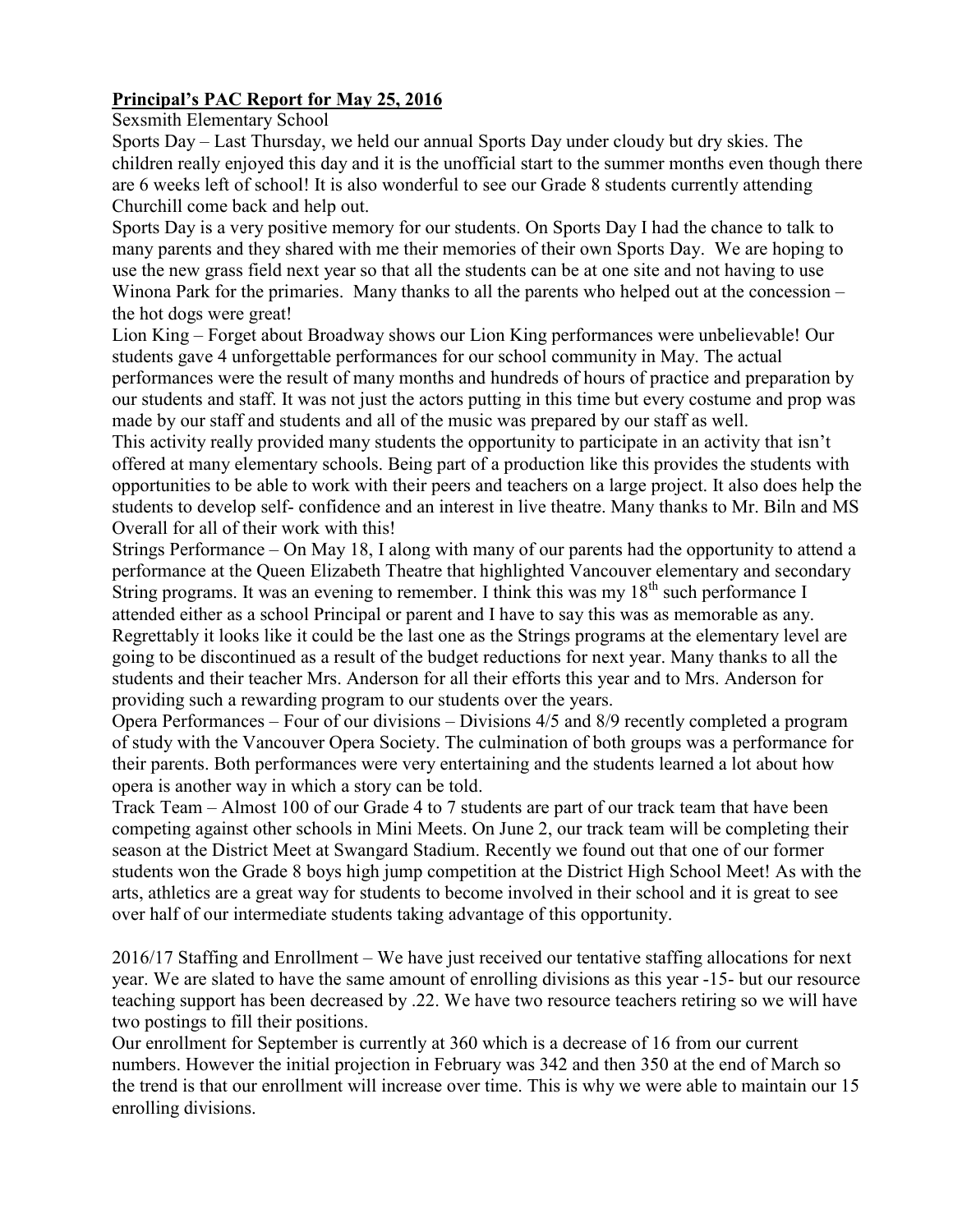## **Principal's PAC Report for May 25, 2016**

Sexsmith Elementary School

Sports Day – Last Thursday, we held our annual Sports Day under cloudy but dry skies. The children really enjoyed this day and it is the unofficial start to the summer months even though there are 6 weeks left of school! It is also wonderful to see our Grade 8 students currently attending Churchill come back and help out.

Sports Day is a very positive memory for our students. On Sports Day I had the chance to talk to many parents and they shared with me their memories of their own Sports Day. We are hoping to use the new grass field next year so that all the students can be at one site and not having to use Winona Park for the primaries. Many thanks to all the parents who helped out at the concession – the hot dogs were great!

Lion King – Forget about Broadway shows our Lion King performances were unbelievable! Our students gave 4 unforgettable performances for our school community in May. The actual performances were the result of many months and hundreds of hours of practice and preparation by our students and staff. It was not just the actors putting in this time but every costume and prop was made by our staff and students and all of the music was prepared by our staff as well.

This activity really provided many students the opportunity to participate in an activity that isn't offered at many elementary schools. Being part of a production like this provides the students with opportunities to be able to work with their peers and teachers on a large project. It also does help the students to develop self- confidence and an interest in live theatre. Many thanks to Mr. Biln and MS Overall for all of their work with this!

Strings Performance – On May 18, I along with many of our parents had the opportunity to attend a performance at the Queen Elizabeth Theatre that highlighted Vancouver elementary and secondary String programs. It was an evening to remember. I think this was my  $18<sup>th</sup>$  such performance I attended either as a school Principal or parent and I have to say this was as memorable as any. Regrettably it looks like it could be the last one as the Strings programs at the elementary level are going to be discontinued as a result of the budget reductions for next year. Many thanks to all the students and their teacher Mrs. Anderson for all their efforts this year and to Mrs. Anderson for providing such a rewarding program to our students over the years.

Opera Performances – Four of our divisions – Divisions 4/5 and 8/9 recently completed a program of study with the Vancouver Opera Society. The culmination of both groups was a performance for their parents. Both performances were very entertaining and the students learned a lot about how opera is another way in which a story can be told.

Track Team – Almost 100 of our Grade 4 to 7 students are part of our track team that have been competing against other schools in Mini Meets. On June 2, our track team will be completing their season at the District Meet at Swangard Stadium. Recently we found out that one of our former students won the Grade 8 boys high jump competition at the District High School Meet! As with the arts, athletics are a great way for students to become involved in their school and it is great to see over half of our intermediate students taking advantage of this opportunity.

2016/17 Staffing and Enrollment – We have just received our tentative staffing allocations for next year. We are slated to have the same amount of enrolling divisions as this year -15- but our resource teaching support has been decreased by .22. We have two resource teachers retiring so we will have two postings to fill their positions.

Our enrollment for September is currently at 360 which is a decrease of 16 from our current numbers. However the initial projection in February was 342 and then 350 at the end of March so the trend is that our enrollment will increase over time. This is why we were able to maintain our 15 enrolling divisions.